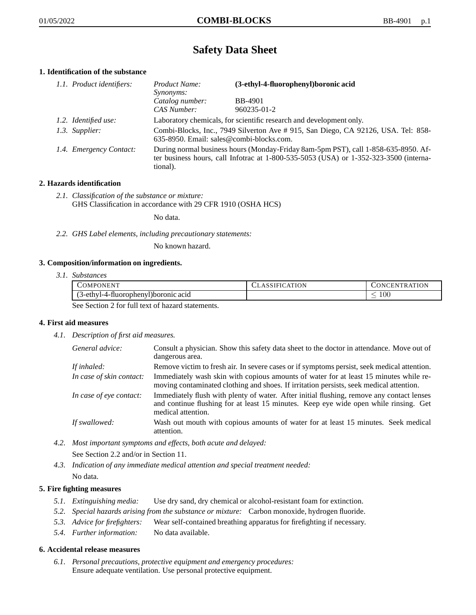# **Safety Data Sheet**

# **1. Identification of the substance**

| 1.1. Product identifiers: | Product Name:<br><i>Synonyms:</i>                                                                                                                                                       | (3-ethyl-4-fluorophenyl)boronic acid |
|---------------------------|-----------------------------------------------------------------------------------------------------------------------------------------------------------------------------------------|--------------------------------------|
|                           | Catalog number:<br>CAS Number:                                                                                                                                                          | <b>BB-4901</b><br>960235-01-2        |
| 1.2. Identified use:      | Laboratory chemicals, for scientific research and development only.                                                                                                                     |                                      |
| 1.3. Supplier:            | Combi-Blocks, Inc., 7949 Silverton Ave # 915, San Diego, CA 92126, USA. Tel: 858-<br>635-8950. Email: sales@combi-blocks.com.                                                           |                                      |
| 1.4. Emergency Contact:   | During normal business hours (Monday-Friday 8am-5pm PST), call 1-858-635-8950. Af-<br>ter business hours, call Infotrac at 1-800-535-5053 (USA) or 1-352-323-3500 (interna-<br>tional). |                                      |

# **2. Hazards identification**

*2.1. Classification of the substance or mixture:* GHS Classification in accordance with 29 CFR 1910 (OSHA HCS)

No data.

*2.2. GHS Label elements, including precautionary statements:*

No known hazard.

# **3. Composition/information on ingredients.**

*3.1. Substances*

| COMPONENT                                      | CLASSIFICATION | CONCENTRATION |
|------------------------------------------------|----------------|---------------|
| (3-ethyl-4-fluorophenyl)boronic acid           |                | 100           |
| See Section 2 for full toxi of here determined |                |               |

See Section 2 for full text of hazard statements.

# **4. First aid measures**

*4.1. Description of first aid measures.*

| General advice:          | Consult a physician. Show this safety data sheet to the doctor in attendance. Move out of<br>dangerous area.                                                                                            |
|--------------------------|---------------------------------------------------------------------------------------------------------------------------------------------------------------------------------------------------------|
| If inhaled:              | Remove victim to fresh air. In severe cases or if symptoms persist, seek medical attention.                                                                                                             |
| In case of skin contact: | Immediately wash skin with copious amounts of water for at least 15 minutes while re-<br>moving contaminated clothing and shoes. If irritation persists, seek medical attention.                        |
| In case of eye contact:  | Immediately flush with plenty of water. After initial flushing, remove any contact lenses<br>and continue flushing for at least 15 minutes. Keep eye wide open while rinsing. Get<br>medical attention. |
| If swallowed:            | Wash out mouth with copious amounts of water for at least 15 minutes. Seek medical<br>attention.                                                                                                        |

*4.2. Most important symptoms and effects, both acute and delayed:*

See Section 2.2 and/or in Section 11.

*4.3. Indication of any immediate medical attention and special treatment needed:* No data.

# **5. Fire fighting measures**

- *5.1. Extinguishing media:* Use dry sand, dry chemical or alcohol-resistant foam for extinction.
- *5.2. Special hazards arising from the substance or mixture:* Carbon monoxide, hydrogen fluoride.
- *5.3. Advice for firefighters:* Wear self-contained breathing apparatus for firefighting if necessary.
- *5.4. Further information:* No data available.

# **6. Accidental release measures**

*6.1. Personal precautions, protective equipment and emergency procedures:* Ensure adequate ventilation. Use personal protective equipment.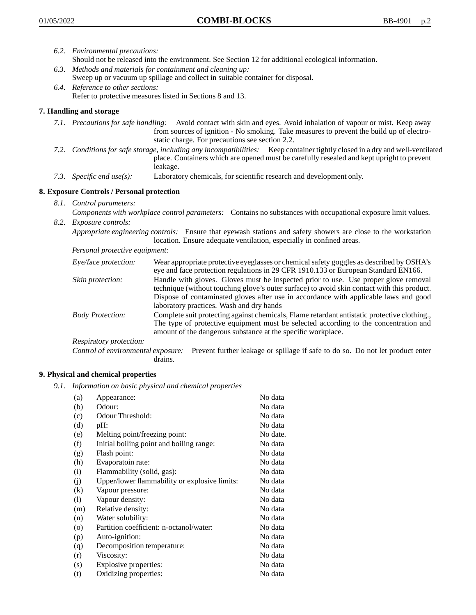- *6.2. Environmental precautions:* Should not be released into the environment. See Section 12 for additional ecological information.
- *6.3. Methods and materials for containment and cleaning up:* Sweep up or vacuum up spillage and collect in suitable container for disposal.
- *6.4. Reference to other sections:* Refer to protective measures listed in Sections 8 and 13.

# **7. Handling and storage**

- *7.1. Precautions for safe handling:* Avoid contact with skin and eyes. Avoid inhalation of vapour or mist. Keep away from sources of ignition - No smoking. Take measures to prevent the build up of electrostatic charge. For precautions see section 2.2.
- *7.2. Conditions for safe storage, including any incompatibilities:* Keep container tightly closed in a dry and well-ventilated place. Containers which are opened must be carefully resealed and kept upright to prevent leakage.
- *7.3. Specific end use(s):* Laboratory chemicals, for scientific research and development only.

# **8. Exposure Controls / Personal protection**

- *8.1. Control parameters:*
- *Components with workplace control parameters:* Contains no substances with occupational exposure limit values. *8.2. Exposure controls:*

*Appropriate engineering controls:* Ensure that eyewash stations and safety showers are close to the workstation location. Ensure adequate ventilation, especially in confined areas.

*Personal protective equipment:*

| Eye/face protection:    | Wear appropriate protective eyeglasses or chemical safety goggles as described by OSHA's<br>eye and face protection regulations in 29 CFR 1910.133 or European Standard EN166.                                                                                                                                         |
|-------------------------|------------------------------------------------------------------------------------------------------------------------------------------------------------------------------------------------------------------------------------------------------------------------------------------------------------------------|
| Skin protection:        | Handle with gloves. Gloves must be inspected prior to use. Use proper glove removal<br>technique (without touching glove's outer surface) to avoid skin contact with this product.<br>Dispose of contaminated gloves after use in accordance with applicable laws and good<br>laboratory practices. Wash and dry hands |
| <b>Body Protection:</b> | Complete suit protecting against chemicals, Flame retardant antistatic protective clothing.,<br>The type of protective equipment must be selected according to the concentration and<br>amount of the dangerous substance at the specific workplace.                                                                   |
| Respiratory protection: |                                                                                                                                                                                                                                                                                                                        |

Control of environmental exposure: Prevent further leakage or spillage if safe to do so. Do not let product enter drains.

# **9. Physical and chemical properties**

*9.1. Information on basic physical and chemical properties*

| (a)      | Appearance:                                   | No data  |
|----------|-----------------------------------------------|----------|
| (b)      | Odour:                                        | No data  |
| (c)      | Odour Threshold:                              | No data  |
| (d)      | pH:                                           | No data  |
| (e)      | Melting point/freezing point:                 | No date. |
| (f)      | Initial boiling point and boiling range:      | No data  |
| (g)      | Flash point:                                  | No data  |
| (h)      | Evaporatoin rate:                             | No data  |
| (i)      | Flammability (solid, gas):                    | No data  |
| (j)      | Upper/lower flammability or explosive limits: | No data  |
| $\rm(k)$ | Vapour pressure:                              | No data  |
| (1)      | Vapour density:                               | No data  |
| (m)      | Relative density:                             | No data  |
| (n)      | Water solubility:                             | No data  |
| $\circ$  | Partition coefficient: n-octanol/water:       | No data  |
| (p)      | Auto-ignition:                                | No data  |
| (q)      | Decomposition temperature:                    | No data  |
| (r)      | Viscosity:                                    | No data  |
| (s)      | Explosive properties:                         | No data  |
| (t)      | Oxidizing properties:                         | No data  |